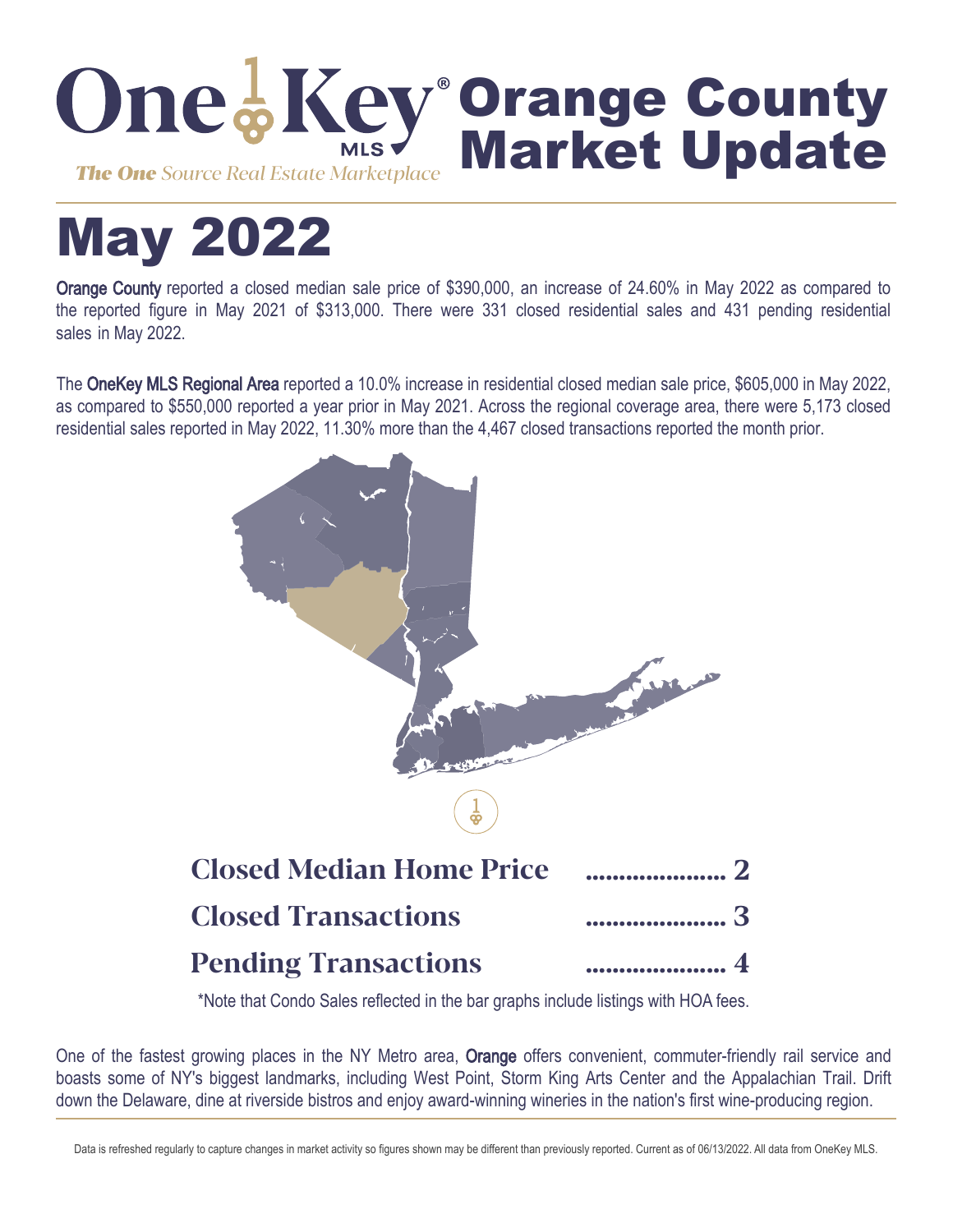

# May 2022

Orange County reported a closed median sale price of \$390,000, an increase of 24.60% in May 2022 as compared to the reported figure in May 2021 of \$313,000. There were 331 closed residential sales and 431 pending residential sales in May 2022.

The OneKey MLS Regional Area reported a 10.0% increase in residential closed median sale price, \$605,000 in May 2022, as compared to \$550,000 reported a year prior in May 2021. Across the regional coverage area, there were 5,173 closed residential sales reported in May 2022, 11.30% more than the 4,467 closed transactions reported the month prior.



\*Note that Condo Sales reflected in the bar graphs include listings with HOA fees.

One of the fastest growing places in the NY Metro area, Orange offers convenient, commuter-friendly rail service and boasts some of NY's biggest landmarks, including West Point, Storm King Arts Center and the Appalachian Trail. Drift down the Delaware, dine at riverside bistros and enjoy award-winning wineries in the nation's first wine-producing region.

Data is refreshed regularly to capture changes in market activity so figures shown may be different than previously reported. Current as of 06/13/2022. All data from OneKey MLS.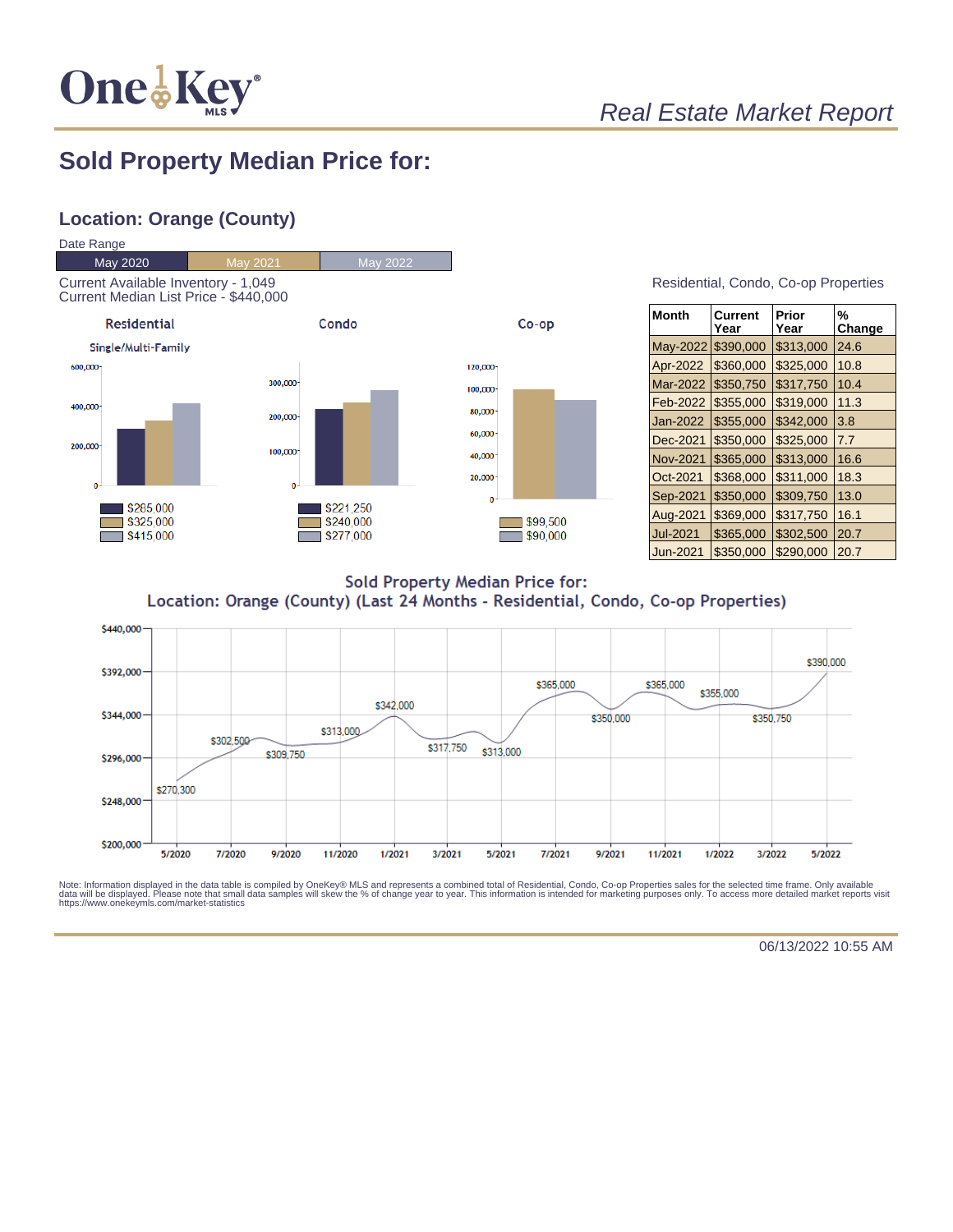

## Real Estate Market Report

### **Sold Property Median Price for:**

#### **Location: Orange (County)**



| Residential, Condo, Co-op Properties |  |  |
|--------------------------------------|--|--|
|                                      |  |  |

| Month           | Current<br>Year | Prior<br>Year | %<br>Change |
|-----------------|-----------------|---------------|-------------|
| May-2022        | \$390,000       | \$313,000     | 24.6        |
| Apr-2022        | \$360,000       | \$325,000     | 10.8        |
| Mar-2022        | \$350,750       | \$317,750     | 10.4        |
| Feb-2022        | \$355,000       | \$319,000     | 11.3        |
| Jan-2022        | \$355,000       | \$342,000     | 3.8         |
| Dec-2021        | \$350,000       | \$325,000     | 7.7         |
| <b>Nov-2021</b> | \$365,000       | \$313,000     | 16.6        |
| Oct-2021        | \$368,000       | \$311,000     | 18.3        |
| Sep-2021        | \$350,000       | \$309,750     | 13.0        |
| Aug-2021        | \$369,000       | \$317,750     | 16.1        |
| <b>Jul-2021</b> | \$365,000       | \$302,500     | 20.7        |
| Jun-2021        | \$350.000       | \$290.000     | 20.7        |

**Sold Property Median Price for:** Location: Orange (County) (Last 24 Months - Residential, Condo, Co-op Properties)



Note: Information displayed in the data table is compiled by OneKey® MLS and represents a combined total of Residential, Condo, Co-op Properties sales for the selected time frame. Only available<br>data will be displayed. Pl

06/13/2022 10:55 AM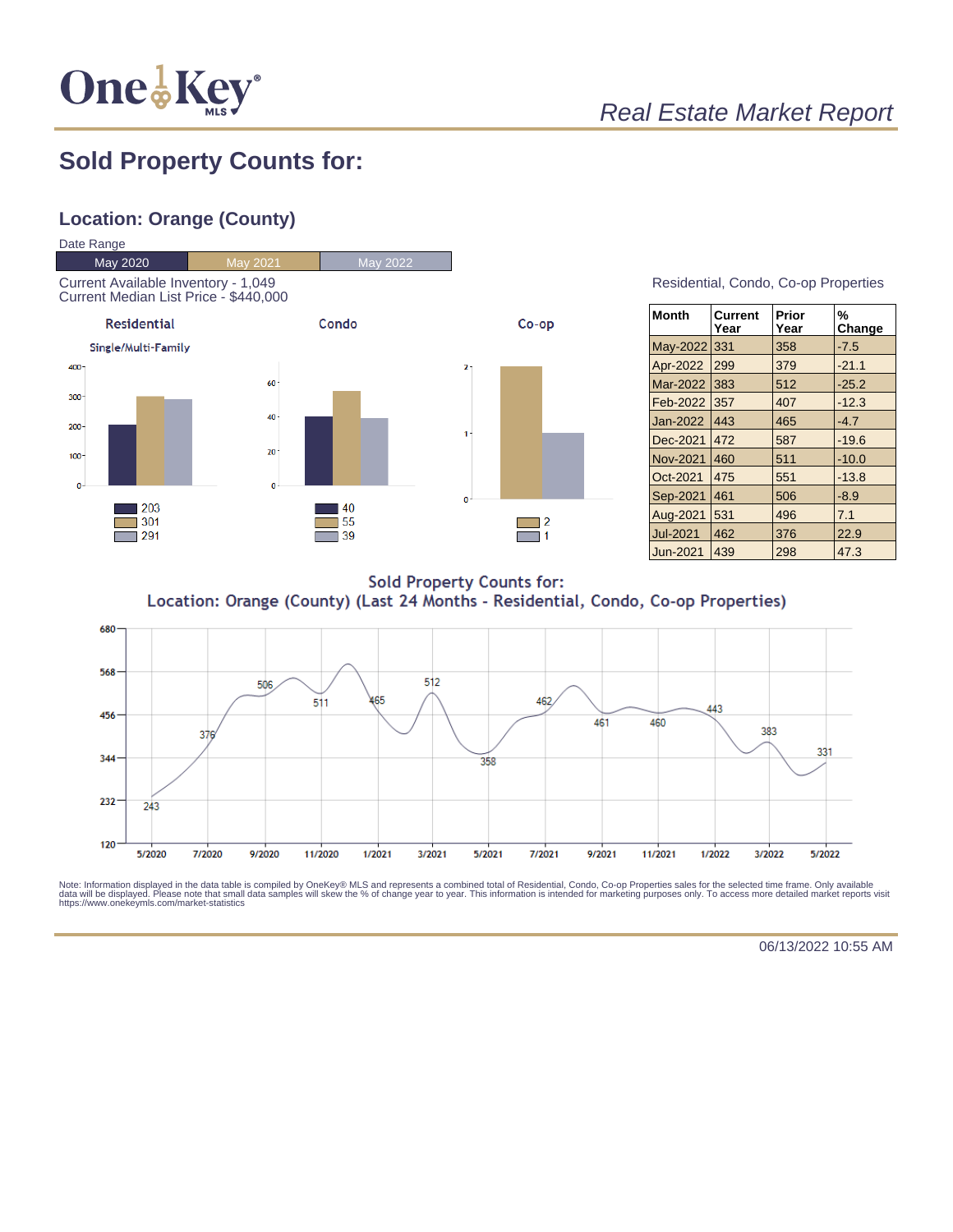

# Real Estate Market Report

## **Sold Property Counts for:**

#### **Location: Orange (County)**



Residential, Condo, Co-op Properties

| <b>Month</b>    | <b>Current</b><br>Year | Prior<br>Year | %<br>Change |
|-----------------|------------------------|---------------|-------------|
| May-2022        | 331                    | 358           | $-7.5$      |
| Apr-2022        | 299                    | 379           | $-21.1$     |
| Mar-2022        | 383                    | 512           | $-25.2$     |
| Feb-2022        | 357                    | 407           | $-12.3$     |
| Jan-2022        | 443                    | 465           | $-4.7$      |
| Dec-2021        | 472                    | 587           | $-19.6$     |
| Nov-2021        | 460                    | 511           | $-10.0$     |
| Oct-2021        | 475                    | 551           | $-13.8$     |
| Sep-2021        | 461                    | 506           | $-8.9$      |
| Aug-2021        | 531                    | 496           | 7.1         |
| <b>Jul-2021</b> | 462                    | 376           | 22.9        |
| Jun-2021        | 439                    | 298           | 47.3        |

**Sold Property Counts for:** Location: Orange (County) (Last 24 Months - Residential, Condo, Co-op Properties)



Note: Information displayed in the data table is compiled by OneKey® MLS and represents a combined total of Residential, Condo, Co-op Properties sales for the selected time frame. Only available<br>data will be displayed. Pl

06/13/2022 10:55 AM